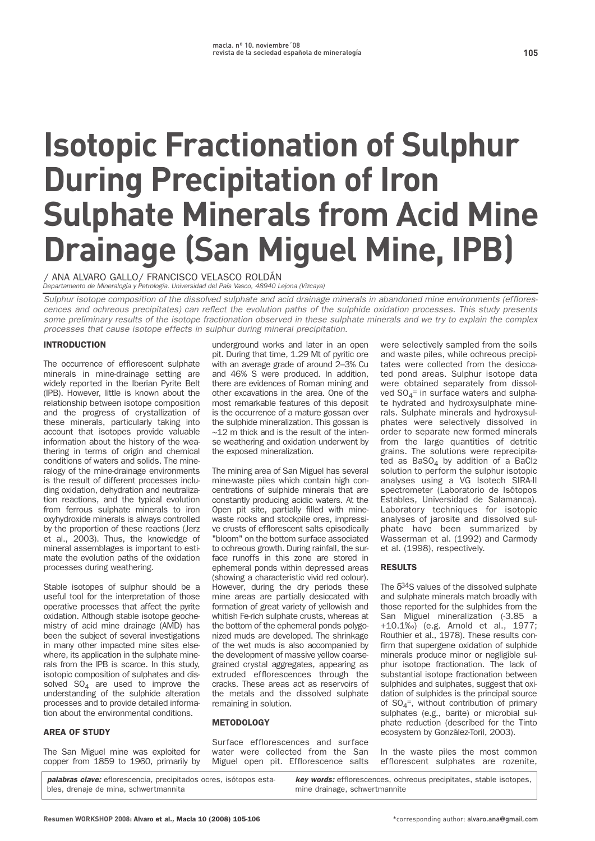# **Isotopic Fractionation of Sulphur During Precipitation of Iron Sulphate Minerals from Acid Mine Drainage (San Miguel Mine, IPB)**

**/ ANA ALVARO GALLO/ FRANCISCO VELASCO ROLDÁN** Departamento de Mineralogía y Petrología. Universidad del País Vasco, 48940 Lejona (Vizcaya)

Sulphur isotope composition of the dissolved sulphate and acid drainage minerals in abandoned mine environments (efflorescences and ochreous precipitates) can reflect the evolution paths of the sulphide oxidation processes. This study presents some preliminary results of the isotope fractionation observed in these sulphate minerals and we try to explain the complex processes that cause isotope effects in sulphur during mineral precipitation.

## **INTRODUCTION**

**The occurrence of efflorescent sulphate minerals in mine-drainage setting are widely reported in the Iberian Pyrite Belt (IPB). However, little is known about the relationship between isotope composition and the progress of crystallization of these minerals, particularly taking into account that isotopes provide valuable information about the history of the weathering in terms of origin and chemical conditions of waters and solids. The mineralogy of the mine-drainage environments is the result of different processes including oxidation, dehydration and neutralization reactions, and the typical evolution from ferrous sulphate minerals to iron oxyhydroxide minerals is always controlled by the proportion of these reactions (Jerz et al., 2003). Thus, the knowledge of mineral assemblages is important to estimate the evolution paths of the oxidation processes during weathering.**

**Stable isotopes of sulphur should be a useful tool for the interpretation of those operative processes that affect the pyrite oxidation. Although stable isotope geochemistry of acid mine drainage (AMD) has been the subject of several investigations in many other impacted mine sites elsewhere, its application in the sulphate minerals from the IPB is scarce. In this study, isotopic composition of sulphates and dissolved SO4 are used to improve the understanding of the sulphide alteration processes and to provide detailed information about the environmental conditions.**

## AREA OF STUDY

**The San Miguel mine was exploited for copper from 1859 to 1960, primarily by**

**underground works and later in an open pit. During that time, 1.29 Mt of pyritic ore with an average grade of around 2–3% Cu and 46% S were produced. In addition, there are evidences of Roman mining and other excavations in the area. One of the most remarkable features of this deposit is the occurrence of a mature gossan over the sulphide mineralization. This gossan is ~12 m thick and is the result of the intense weathering and oxidation underwent by the exposed mineralization.**

**The mining area of San Miguel has several mine-waste piles which contain high concentrations of sulphide minerals that are constantly producing acidic waters. At the Open pit site, partially filled with minewaste rocks and stockpile ores, impressive crusts of efflorescent salts episodically "bloom" on the bottom surface associated to ochreous growth. During rainfall, the surface runoffs in this zone are stored in ephemeral ponds within depressed areas (showing a characteristic vivid red colour). However, during the dry periods these mine areas are partially desiccated with formation of great variety of yellowish and whitish Fe-rich sulphate crusts, whereas at the bottom of the ephemeral ponds polygonized muds are developed. The shrinkage of the wet muds is also accompanied by the development of massive yellow coarsegrained crystal aggregates, appearing as extruded efflorescences through the cracks. These areas act as reservoirs of the metals and the dissolved sulphate remaining in solution.**

## **METODOLOGY**

**Surface efflorescences and surface water were collected from the San Miguel open pit. Efflorescence salts**

**were selectively sampled from the soils and waste piles, while ochreous precipitates were collected from the desiccated pond areas. Sulphur isotope data were obtained separately from dissol**ved SO<sub>4</sub><sup>=</sup> in surface waters and sulpha**te hydrated and hydroxysulphate minerals. Sulphate minerals and hydroxysulphates were selectively dissolved in order to separate new formed minerals from the large quantities of detritic grains. The solutions were reprecipitated as BaSO4 by addition of a BaCl2 solution to perform the sulphur isotopic analyses using a VG Isotech SIRA-II spectrometer (Laboratorio de Isótopos Estables, Universidad de Salamanca). Laboratory techniques for isotopic analyses of jarosite and dissolved sulphate have been summarized by Wasserman et al. (1992) and Carmody et al. (1998), respectively.**

## **RESULTS**

**The** δ**34S values of the dissolved sulphate and sulphate minerals match broadly with those reported for the sulphides from the San Miguel mineralization (-3.85 a +10.1‰) (e.g. Arnold et al., 1977; Routhier et al., 1978). These results confirm that supergene oxidation of sulphide minerals produce minor or negligible sulphur isotope fractionation. The lack of substantial isotope fractionation between sulphides and sulphates, suggest that oxidation of sulphides is the principal source of SO4 =, without contribution of primary sulphates (e.g., barite) or microbial sulphate reduction (described for the Tinto ecosystem by González-Toril, 2003).**

**In the waste piles the most common efflorescent sulphates are rozenite,**

**palabras clave: eflorescencia, precipitados ocres, isótopos estables, drenaje de mina, schwertmannita key words: efflorescences, ochreous precipitates, stable isotopes, mine drainage, schwertmannite**